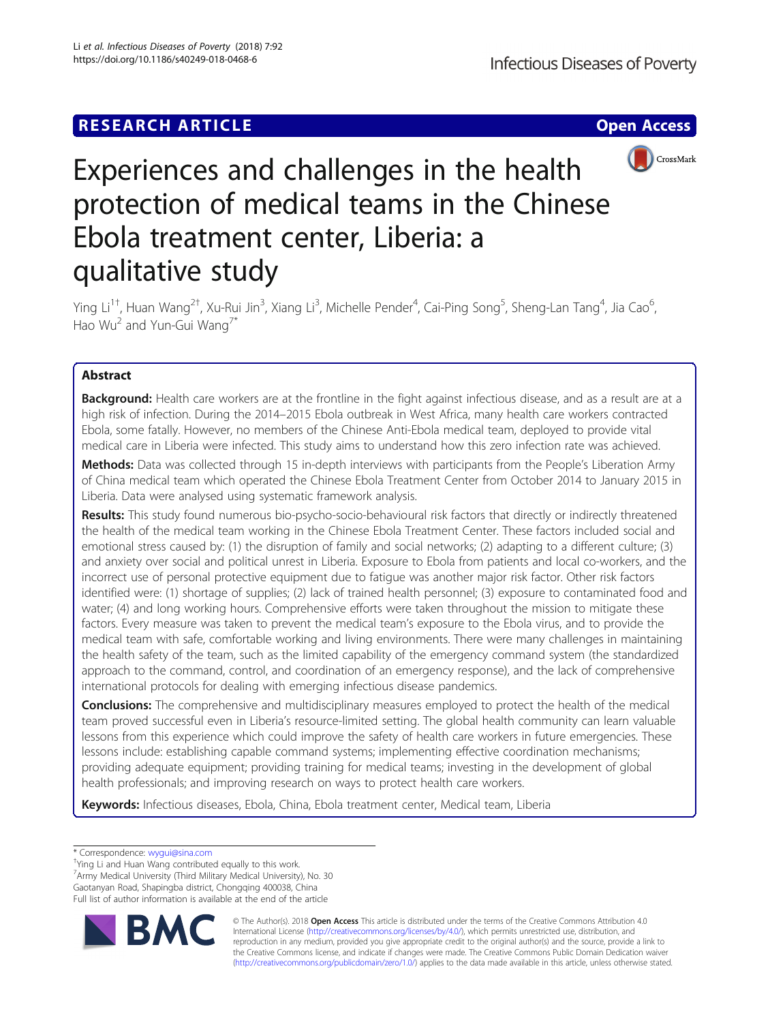## **RESEARCH ARTICLE Example 2014 12:30 The Contract of Contract ACCESS**



# Experiences and challenges in the health protection of medical teams in the Chinese Ebola treatment center, Liberia: a qualitative study

Ying Li $^{1\dagger}$ , Huan Wang $^{2\dagger}$ , Xu-Rui Jin $^3$ , Xiang Li $^3$ , Michelle Pender $^4$ , Cai-Ping Song $^5$ , Sheng-Lan Tang $^4$ , Jia Cao $^6$ , Hao Wu<sup>2</sup> and Yun-Gui Wang<sup>7</sup>

## Abstract

Background: Health care workers are at the frontline in the fight against infectious disease, and as a result are at a high risk of infection. During the 2014–2015 Ebola outbreak in West Africa, many health care workers contracted Ebola, some fatally. However, no members of the Chinese Anti-Ebola medical team, deployed to provide vital medical care in Liberia were infected. This study aims to understand how this zero infection rate was achieved.

Methods: Data was collected through 15 in-depth interviews with participants from the People's Liberation Army of China medical team which operated the Chinese Ebola Treatment Center from October 2014 to January 2015 in Liberia. Data were analysed using systematic framework analysis.

Results: This study found numerous bio-psycho-socio-behavioural risk factors that directly or indirectly threatened the health of the medical team working in the Chinese Ebola Treatment Center. These factors included social and emotional stress caused by: (1) the disruption of family and social networks; (2) adapting to a different culture; (3) and anxiety over social and political unrest in Liberia. Exposure to Ebola from patients and local co-workers, and the incorrect use of personal protective equipment due to fatigue was another major risk factor. Other risk factors identified were: (1) shortage of supplies; (2) lack of trained health personnel; (3) exposure to contaminated food and water; (4) and long working hours. Comprehensive efforts were taken throughout the mission to mitigate these factors. Every measure was taken to prevent the medical team's exposure to the Ebola virus, and to provide the medical team with safe, comfortable working and living environments. There were many challenges in maintaining the health safety of the team, such as the limited capability of the emergency command system (the standardized approach to the command, control, and coordination of an emergency response), and the lack of comprehensive international protocols for dealing with emerging infectious disease pandemics.

Conclusions: The comprehensive and multidisciplinary measures employed to protect the health of the medical team proved successful even in Liberia's resource-limited setting. The global health community can learn valuable lessons from this experience which could improve the safety of health care workers in future emergencies. These lessons include: establishing capable command systems; implementing effective coordination mechanisms; providing adequate equipment; providing training for medical teams; investing in the development of global health professionals; and improving research on ways to protect health care workers.

Keywords: Infectious diseases, Ebola, China, Ebola treatment center, Medical team, Liberia

<sup>&</sup>lt;sup>†</sup>Ying Li and Huan Wang contributed equally to this work. 7 Army Medical University (Third Military Medical University), No. 30 Gaotanyan Road, Shapingba district, Chongqing 400038, China Full list of author information is available at the end of the article



© The Author(s). 2018 Open Access This article is distributed under the terms of the Creative Commons Attribution 4.0 International License [\(http://creativecommons.org/licenses/by/4.0/](http://creativecommons.org/licenses/by/4.0/)), which permits unrestricted use, distribution, and reproduction in any medium, provided you give appropriate credit to the original author(s) and the source, provide a link to the Creative Commons license, and indicate if changes were made. The Creative Commons Public Domain Dedication waiver [\(http://creativecommons.org/publicdomain/zero/1.0/](http://creativecommons.org/publicdomain/zero/1.0/)) applies to the data made available in this article, unless otherwise stated.

<sup>\*</sup> Correspondence: [wygui@sina.com](mailto:wygui@sina.com) †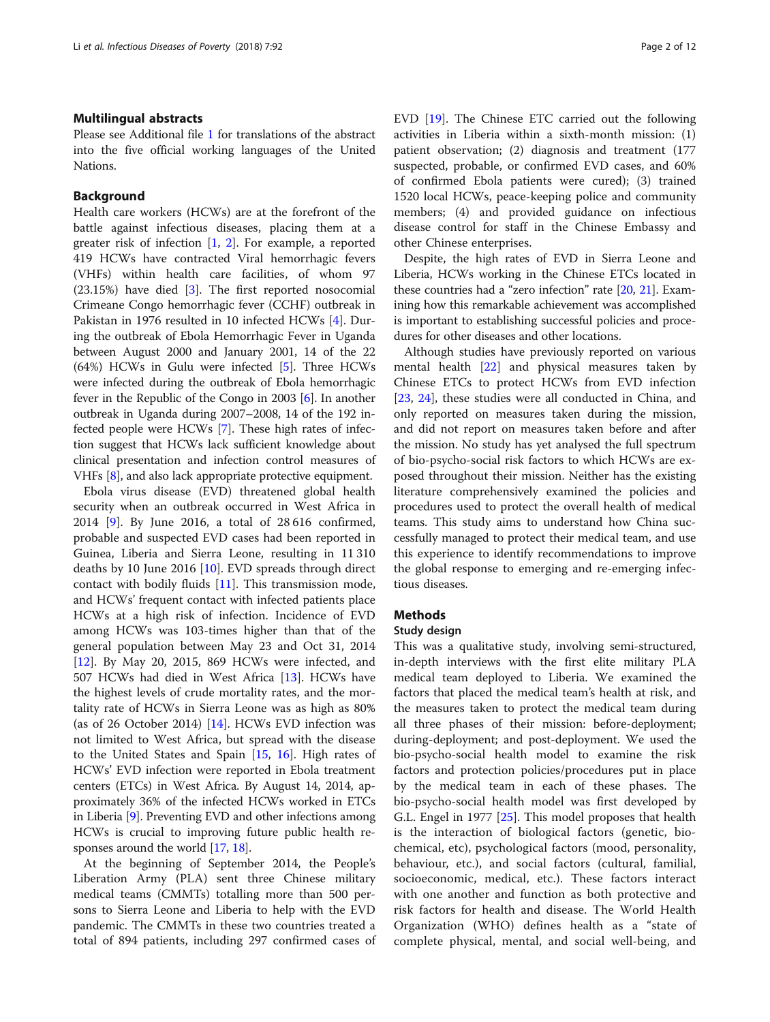## <span id="page-1-0"></span>Multilingual abstracts

Please see Additional file [1](#page-10-0) for translations of the abstract into the five official working languages of the United Nations.

## **Background**

Health care workers (HCWs) are at the forefront of the battle against infectious diseases, placing them at a greater risk of infection [[1](#page-10-0), [2\]](#page-10-0). For example, a reported 419 HCWs have contracted Viral hemorrhagic fevers (VHFs) within health care facilities, of whom 97 (23.15%) have died [\[3](#page-10-0)]. The first reported nosocomial Crimeane Congo hemorrhagic fever (CCHF) outbreak in Pakistan in 1976 resulted in 10 infected HCWs [[4\]](#page-10-0). During the outbreak of Ebola Hemorrhagic Fever in Uganda between August 2000 and January 2001, 14 of the 22 (64%) HCWs in Gulu were infected [\[5\]](#page-10-0). Three HCWs were infected during the outbreak of Ebola hemorrhagic fever in the Republic of the Congo in 2003 [\[6](#page-11-0)]. In another outbreak in Uganda during 2007–2008, 14 of the 192 infected people were HCWs [\[7](#page-11-0)]. These high rates of infection suggest that HCWs lack sufficient knowledge about clinical presentation and infection control measures of VHFs [\[8\]](#page-11-0), and also lack appropriate protective equipment.

Ebola virus disease (EVD) threatened global health security when an outbreak occurred in West Africa in 2014 [[9\]](#page-11-0). By June 2016, a total of 28 616 confirmed, probable and suspected EVD cases had been reported in Guinea, Liberia and Sierra Leone, resulting in 11 310 deaths by 10 June 2016 [[10\]](#page-11-0). EVD spreads through direct contact with bodily fluids [[11](#page-11-0)]. This transmission mode, and HCWs' frequent contact with infected patients place HCWs at a high risk of infection. Incidence of EVD among HCWs was 103-times higher than that of the general population between May 23 and Oct 31, 2014 [[12\]](#page-11-0). By May 20, 2015, 869 HCWs were infected, and 507 HCWs had died in West Africa [\[13\]](#page-11-0). HCWs have the highest levels of crude mortality rates, and the mortality rate of HCWs in Sierra Leone was as high as 80% (as of 26 October 2014) [[14\]](#page-11-0). HCWs EVD infection was not limited to West Africa, but spread with the disease to the United States and Spain [[15,](#page-11-0) [16](#page-11-0)]. High rates of HCWs' EVD infection were reported in Ebola treatment centers (ETCs) in West Africa. By August 14, 2014, approximately 36% of the infected HCWs worked in ETCs in Liberia [\[9](#page-11-0)]. Preventing EVD and other infections among HCWs is crucial to improving future public health responses around the world [\[17](#page-11-0), [18](#page-11-0)].

At the beginning of September 2014, the People's Liberation Army (PLA) sent three Chinese military medical teams (CMMTs) totalling more than 500 persons to Sierra Leone and Liberia to help with the EVD pandemic. The CMMTs in these two countries treated a total of 894 patients, including 297 confirmed cases of EVD [[19\]](#page-11-0). The Chinese ETC carried out the following activities in Liberia within a sixth-month mission: (1) patient observation; (2) diagnosis and treatment (177 suspected, probable, or confirmed EVD cases, and 60% of confirmed Ebola patients were cured); (3) trained 1520 local HCWs, peace-keeping police and community members; (4) and provided guidance on infectious disease control for staff in the Chinese Embassy and other Chinese enterprises.

Despite, the high rates of EVD in Sierra Leone and Liberia, HCWs working in the Chinese ETCs located in these countries had a "zero infection" rate [\[20,](#page-11-0) [21](#page-11-0)]. Examining how this remarkable achievement was accomplished is important to establishing successful policies and procedures for other diseases and other locations.

Although studies have previously reported on various mental health [[22](#page-11-0)] and physical measures taken by Chinese ETCs to protect HCWs from EVD infection [[23,](#page-11-0) [24](#page-11-0)], these studies were all conducted in China, and only reported on measures taken during the mission, and did not report on measures taken before and after the mission. No study has yet analysed the full spectrum of bio-psycho-social risk factors to which HCWs are exposed throughout their mission. Neither has the existing literature comprehensively examined the policies and procedures used to protect the overall health of medical teams. This study aims to understand how China successfully managed to protect their medical team, and use this experience to identify recommendations to improve the global response to emerging and re-emerging infectious diseases.

## Methods

## Study design

This was a qualitative study, involving semi-structured, in-depth interviews with the first elite military PLA medical team deployed to Liberia. We examined the factors that placed the medical team's health at risk, and the measures taken to protect the medical team during all three phases of their mission: before-deployment; during-deployment; and post-deployment. We used the bio-psycho-social health model to examine the risk factors and protection policies/procedures put in place by the medical team in each of these phases. The bio-psycho-social health model was first developed by G.L. Engel in 1977 [\[25](#page-11-0)]. This model proposes that health is the interaction of biological factors (genetic, biochemical, etc), psychological factors (mood, personality, behaviour, etc.), and social factors (cultural, familial, socioeconomic, medical, etc.). These factors interact with one another and function as both protective and risk factors for health and disease. The World Health Organization (WHO) defines health as a "state of complete physical, mental, and social well-being, and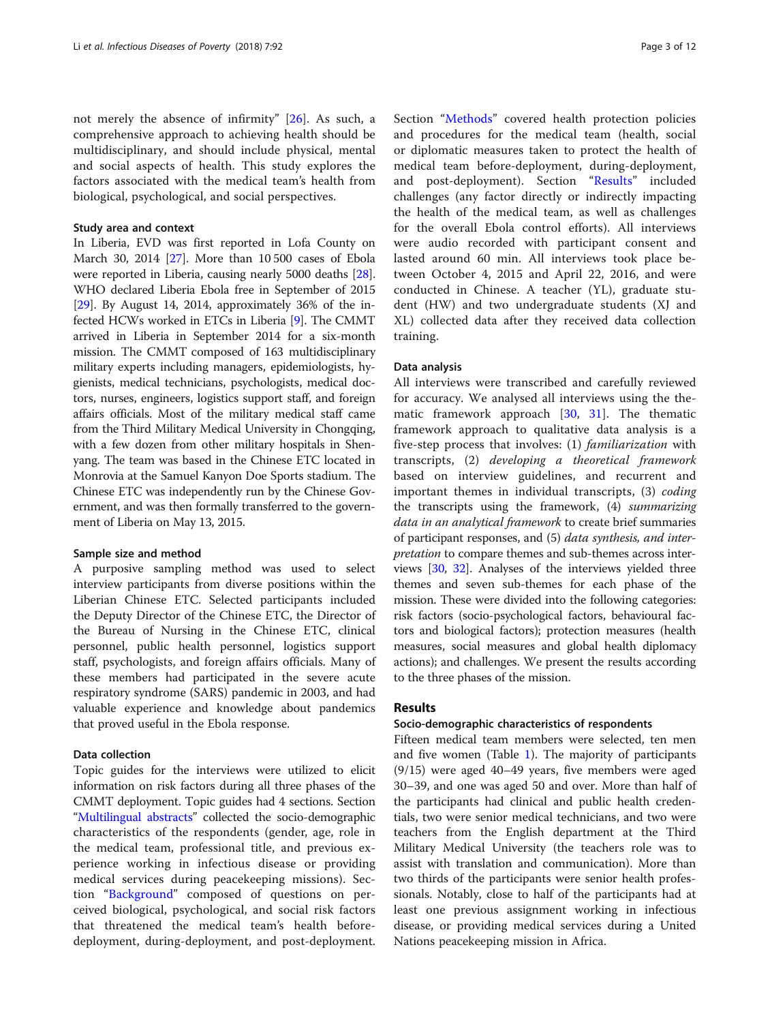not merely the absence of infirmity" [[26](#page-11-0)]. As such, a comprehensive approach to achieving health should be multidisciplinary, and should include physical, mental and social aspects of health. This study explores the factors associated with the medical team's health from biological, psychological, and social perspectives.

## Study area and context

In Liberia, EVD was first reported in Lofa County on March 30, 2014 [\[27\]](#page-11-0). More than 10 500 cases of Ebola were reported in Liberia, causing nearly 5000 deaths [[28](#page-11-0)]. WHO declared Liberia Ebola free in September of 2015 [[29](#page-11-0)]. By August 14, 2014, approximately 36% of the infected HCWs worked in ETCs in Liberia [\[9](#page-11-0)]. The CMMT arrived in Liberia in September 2014 for a six-month mission. The CMMT composed of 163 multidisciplinary military experts including managers, epidemiologists, hygienists, medical technicians, psychologists, medical doctors, nurses, engineers, logistics support staff, and foreign affairs officials. Most of the military medical staff came from the Third Military Medical University in Chongqing, with a few dozen from other military hospitals in Shenyang. The team was based in the Chinese ETC located in Monrovia at the Samuel Kanyon Doe Sports stadium. The Chinese ETC was independently run by the Chinese Government, and was then formally transferred to the government of Liberia on May 13, 2015.

## Sample size and method

A purposive sampling method was used to select interview participants from diverse positions within the Liberian Chinese ETC. Selected participants included the Deputy Director of the Chinese ETC, the Director of the Bureau of Nursing in the Chinese ETC, clinical personnel, public health personnel, logistics support staff, psychologists, and foreign affairs officials. Many of these members had participated in the severe acute respiratory syndrome (SARS) pandemic in 2003, and had valuable experience and knowledge about pandemics that proved useful in the Ebola response.

## Data collection

Topic guides for the interviews were utilized to elicit information on risk factors during all three phases of the CMMT deployment. Topic guides had 4 sections. Section "[Multilingual abstracts](#page-1-0)" collected the socio-demographic characteristics of the respondents (gender, age, role in the medical team, professional title, and previous experience working in infectious disease or providing medical services during peacekeeping missions). Section "[Background](#page-1-0)" composed of questions on perceived biological, psychological, and social risk factors that threatened the medical team's health beforedeployment, during-deployment, and post-deployment. Section "[Methods](#page-1-0)" covered health protection policies and procedures for the medical team (health, social or diplomatic measures taken to protect the health of medical team before-deployment, during-deployment, and post-deployment). Section "Results" included challenges (any factor directly or indirectly impacting the health of the medical team, as well as challenges for the overall Ebola control efforts). All interviews were audio recorded with participant consent and lasted around 60 min. All interviews took place between October 4, 2015 and April 22, 2016, and were conducted in Chinese. A teacher (YL), graduate student (HW) and two undergraduate students (XJ and XL) collected data after they received data collection training.

## Data analysis

All interviews were transcribed and carefully reviewed for accuracy. We analysed all interviews using the thematic framework approach [\[30](#page-11-0), [31\]](#page-11-0). The thematic framework approach to qualitative data analysis is a five-step process that involves: (1) familiarization with transcripts, (2) developing a theoretical framework based on interview guidelines, and recurrent and important themes in individual transcripts, (3) coding the transcripts using the framework, (4) summarizing data in an analytical framework to create brief summaries of participant responses, and (5) data synthesis, and interpretation to compare themes and sub-themes across interviews [\[30,](#page-11-0) [32](#page-11-0)]. Analyses of the interviews yielded three themes and seven sub-themes for each phase of the mission. These were divided into the following categories: risk factors (socio-psychological factors, behavioural factors and biological factors); protection measures (health measures, social measures and global health diplomacy actions); and challenges. We present the results according to the three phases of the mission.

## Results

## Socio-demographic characteristics of respondents

Fifteen medical team members were selected, ten men and five women (Table [1\)](#page-3-0). The majority of participants (9/15) were aged 40–49 years, five members were aged 30–39, and one was aged 50 and over. More than half of the participants had clinical and public health credentials, two were senior medical technicians, and two were teachers from the English department at the Third Military Medical University (the teachers role was to assist with translation and communication). More than two thirds of the participants were senior health professionals. Notably, close to half of the participants had at least one previous assignment working in infectious disease, or providing medical services during a United Nations peacekeeping mission in Africa.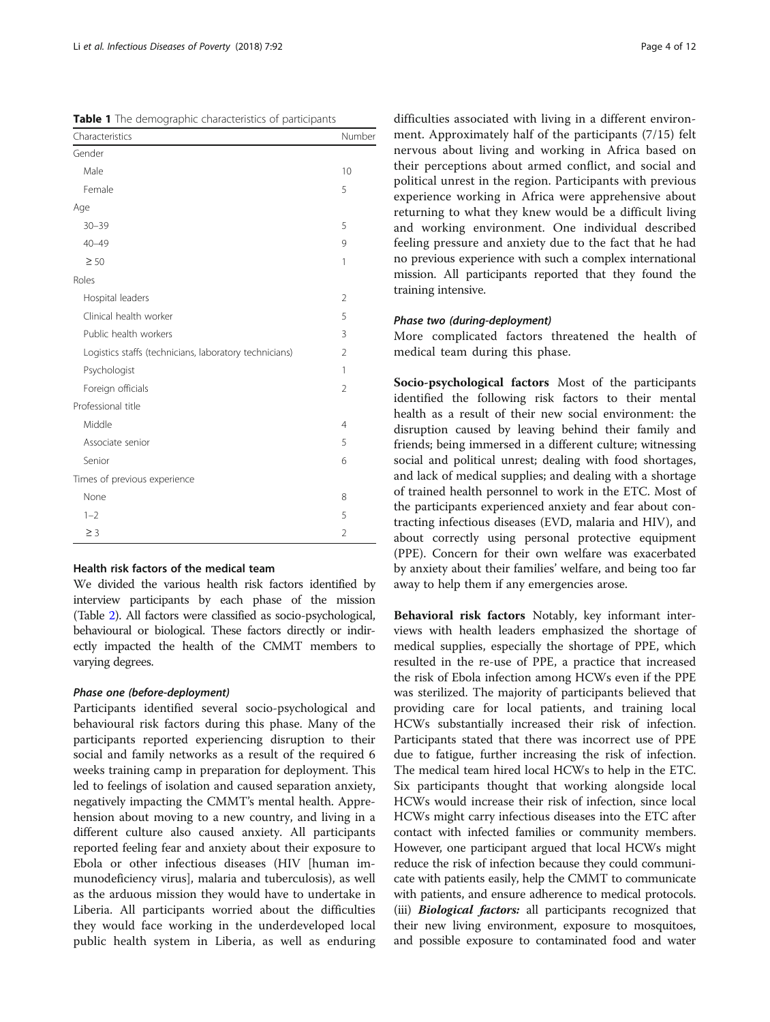<span id="page-3-0"></span>Table 1 The demographic characteristics of participants

| Characteristics                                        | Number         |
|--------------------------------------------------------|----------------|
| Gender                                                 |                |
| Male                                                   | 10             |
| Female                                                 | 5              |
| Age                                                    |                |
| $30 - 39$                                              | 5              |
| $40 - 49$                                              | 9              |
| $\geq 50$                                              | 1              |
| Roles                                                  |                |
| Hospital leaders                                       | $\overline{2}$ |
| Clinical health worker                                 | 5              |
| Public health workers                                  | 3              |
| Logistics staffs (technicians, laboratory technicians) | $\mathfrak{D}$ |
| Psychologist                                           | 1              |
| Foreign officials                                      | $\overline{2}$ |
| Professional title                                     |                |
| Middle                                                 | $\overline{4}$ |
| Associate senior                                       | 5              |
| Senior                                                 | 6              |
| Times of previous experience                           |                |
| None                                                   | 8              |
| $1 - 2$                                                | 5              |
| $\geq$ 3                                               | $\overline{2}$ |

## Health risk factors of the medical team

We divided the various health risk factors identified by interview participants by each phase of the mission (Table [2](#page-4-0)). All factors were classified as socio-psychological, behavioural or biological. These factors directly or indirectly impacted the health of the CMMT members to varying degrees.

## Phase one (before-deployment)

Participants identified several socio-psychological and behavioural risk factors during this phase. Many of the participants reported experiencing disruption to their social and family networks as a result of the required 6 weeks training camp in preparation for deployment. This led to feelings of isolation and caused separation anxiety, negatively impacting the CMMT's mental health. Apprehension about moving to a new country, and living in a different culture also caused anxiety. All participants reported feeling fear and anxiety about their exposure to Ebola or other infectious diseases (HIV [human immunodeficiency virus], malaria and tuberculosis), as well as the arduous mission they would have to undertake in Liberia. All participants worried about the difficulties they would face working in the underdeveloped local public health system in Liberia, as well as enduring difficulties associated with living in a different environment. Approximately half of the participants (7/15) felt nervous about living and working in Africa based on their perceptions about armed conflict, and social and political unrest in the region. Participants with previous experience working in Africa were apprehensive about returning to what they knew would be a difficult living and working environment. One individual described feeling pressure and anxiety due to the fact that he had no previous experience with such a complex international mission. All participants reported that they found the training intensive.

## Phase two (during-deployment)

More complicated factors threatened the health of medical team during this phase.

Socio-psychological factors Most of the participants identified the following risk factors to their mental health as a result of their new social environment: the disruption caused by leaving behind their family and friends; being immersed in a different culture; witnessing social and political unrest; dealing with food shortages, and lack of medical supplies; and dealing with a shortage of trained health personnel to work in the ETC. Most of the participants experienced anxiety and fear about contracting infectious diseases (EVD, malaria and HIV), and about correctly using personal protective equipment (PPE). Concern for their own welfare was exacerbated by anxiety about their families' welfare, and being too far away to help them if any emergencies arose.

Behavioral risk factors Notably, key informant interviews with health leaders emphasized the shortage of medical supplies, especially the shortage of PPE, which resulted in the re-use of PPE, a practice that increased the risk of Ebola infection among HCWs even if the PPE was sterilized. The majority of participants believed that providing care for local patients, and training local HCWs substantially increased their risk of infection. Participants stated that there was incorrect use of PPE due to fatigue, further increasing the risk of infection. The medical team hired local HCWs to help in the ETC. Six participants thought that working alongside local HCWs would increase their risk of infection, since local HCWs might carry infectious diseases into the ETC after contact with infected families or community members. However, one participant argued that local HCWs might reduce the risk of infection because they could communicate with patients easily, help the CMMT to communicate with patients, and ensure adherence to medical protocols. (iii) **Biological factors:** all participants recognized that their new living environment, exposure to mosquitoes, and possible exposure to contaminated food and water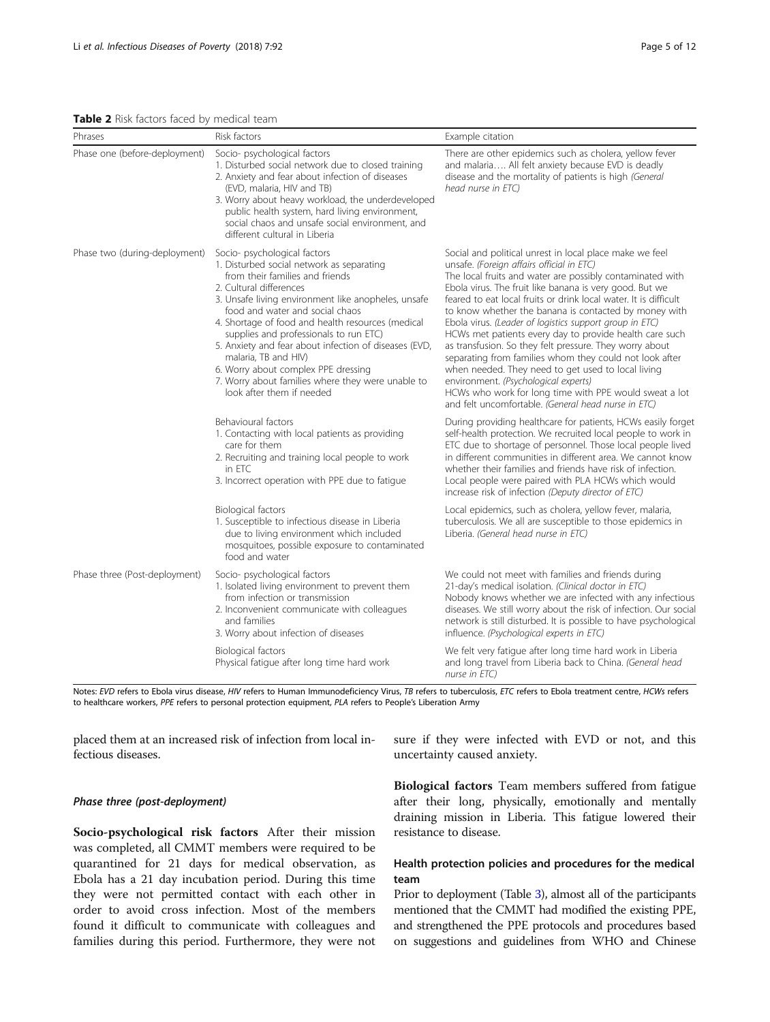<span id="page-4-0"></span>Table 2 Risk factors faced by medical team

| Phrases                       | Risk factors                                                                                                                                                                                                                                                                                                                                                                                                                                                                                                                               | Example citation                                                                                                                                                                                                                                                                                                                                                                                                                                                                                                                                                                                                                                                                                                                                                                                                     |
|-------------------------------|--------------------------------------------------------------------------------------------------------------------------------------------------------------------------------------------------------------------------------------------------------------------------------------------------------------------------------------------------------------------------------------------------------------------------------------------------------------------------------------------------------------------------------------------|----------------------------------------------------------------------------------------------------------------------------------------------------------------------------------------------------------------------------------------------------------------------------------------------------------------------------------------------------------------------------------------------------------------------------------------------------------------------------------------------------------------------------------------------------------------------------------------------------------------------------------------------------------------------------------------------------------------------------------------------------------------------------------------------------------------------|
| Phase one (before-deployment) | Socio- psychological factors<br>1. Disturbed social network due to closed training<br>2. Anxiety and fear about infection of diseases<br>(EVD, malaria, HIV and TB)<br>3. Worry about heavy workload, the underdeveloped<br>public health system, hard living environment,<br>social chaos and unsafe social environment, and<br>different cultural in Liberia                                                                                                                                                                             | There are other epidemics such as cholera, yellow fever<br>and malaria All felt anxiety because EVD is deadly<br>disease and the mortality of patients is high (General<br>head nurse in ETC)                                                                                                                                                                                                                                                                                                                                                                                                                                                                                                                                                                                                                        |
| Phase two (during-deployment) | Socio- psychological factors<br>1. Disturbed social network as separating<br>from their families and friends<br>2. Cultural differences<br>3. Unsafe living environment like anopheles, unsafe<br>food and water and social chaos<br>4. Shortage of food and health resources (medical<br>supplies and professionals to run ETC)<br>5. Anxiety and fear about infection of diseases (EVD,<br>malaria, TB and HIV)<br>6. Worry about complex PPE dressing<br>7. Worry about families where they were unable to<br>look after them if needed | Social and political unrest in local place make we feel<br>unsafe. (Foreign affairs official in ETC)<br>The local fruits and water are possibly contaminated with<br>Ebola virus. The fruit like banana is very good. But we<br>feared to eat local fruits or drink local water. It is difficult<br>to know whether the banana is contacted by money with<br>Ebola virus. (Leader of logistics support group in ETC)<br>HCWs met patients every day to provide health care such<br>as transfusion. So they felt pressure. They worry about<br>separating from families whom they could not look after<br>when needed. They need to get used to local living<br>environment. (Psychological experts)<br>HCWs who work for long time with PPE would sweat a lot<br>and felt uncomfortable. (General head nurse in ETC) |
|                               | Behavioural factors<br>1. Contacting with local patients as providing<br>care for them<br>2. Recruiting and training local people to work<br>in ETC<br>3. Incorrect operation with PPE due to fatigue                                                                                                                                                                                                                                                                                                                                      | During providing healthcare for patients, HCWs easily forget<br>self-health protection. We recruited local people to work in<br>ETC due to shortage of personnel. Those local people lived<br>in different communities in different area. We cannot know<br>whether their families and friends have risk of infection.<br>Local people were paired with PLA HCWs which would<br>increase risk of infection (Deputy director of ETC)                                                                                                                                                                                                                                                                                                                                                                                  |
|                               | Biological factors<br>1. Susceptible to infectious disease in Liberia<br>due to living environment which included<br>mosquitoes, possible exposure to contaminated<br>food and water                                                                                                                                                                                                                                                                                                                                                       | Local epidemics, such as cholera, yellow fever, malaria,<br>tuberculosis. We all are susceptible to those epidemics in<br>Liberia. (General head nurse in ETC)                                                                                                                                                                                                                                                                                                                                                                                                                                                                                                                                                                                                                                                       |
| Phase three (Post-deployment) | Socio- psychological factors<br>1. Isolated living environment to prevent them<br>from infection or transmission<br>2. Inconvenient communicate with colleagues<br>and families<br>3. Worry about infection of diseases                                                                                                                                                                                                                                                                                                                    | We could not meet with families and friends during<br>21-day's medical isolation. (Clinical doctor in ETC)<br>Nobody knows whether we are infected with any infectious<br>diseases. We still worry about the risk of infection. Our socia<br>network is still disturbed. It is possible to have psychological<br>influence. (Psychological experts in ETC)                                                                                                                                                                                                                                                                                                                                                                                                                                                           |
|                               | Biological factors<br>Physical fatique after long time hard work                                                                                                                                                                                                                                                                                                                                                                                                                                                                           | We felt very fatigue after long time hard work in Liberia<br>and long travel from Liberia back to China. (General head<br>nurse in ETC)                                                                                                                                                                                                                                                                                                                                                                                                                                                                                                                                                                                                                                                                              |

Notes: EVD refers to Ebola virus disease, HIV refers to Human Immunodeficiency Virus, TB refers to tuberculosis, ETC refers to Ebola treatment centre, HCWs refers to healthcare workers, PPE refers to personal protection equipment, PLA refers to People's Liberation Army

placed them at an increased risk of infection from local infectious diseases.

## Phase three (post-deployment)

Socio-psychological risk factors After their mission was completed, all CMMT members were required to be quarantined for 21 days for medical observation, as Ebola has a 21 day incubation period. During this time they were not permitted contact with each other in order to avoid cross infection. Most of the members found it difficult to communicate with colleagues and families during this period. Furthermore, they were not sure if they were infected with EVD or not, and this uncertainty caused anxiety.

Biological factors Team members suffered from fatigue after their long, physically, emotionally and mentally draining mission in Liberia. This fatigue lowered their resistance to disease.

## Health protection policies and procedures for the medical team

Prior to deployment (Table [3\)](#page-5-0), almost all of the participants mentioned that the CMMT had modified the existing PPE, and strengthened the PPE protocols and procedures based on suggestions and guidelines from WHO and Chinese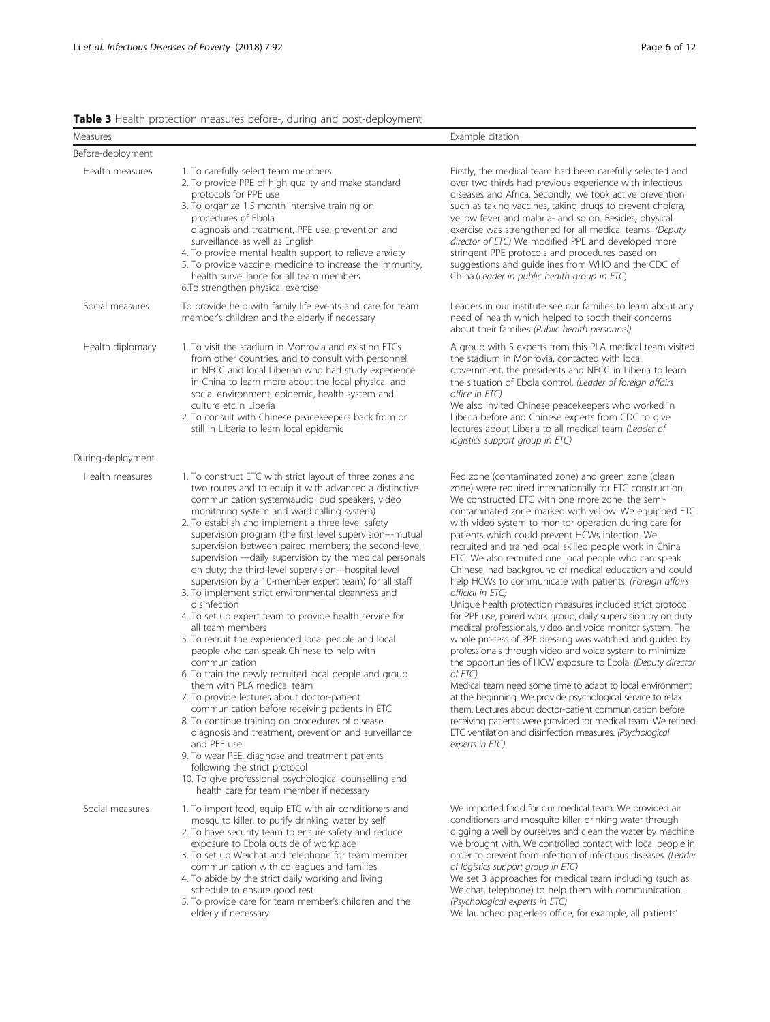<span id="page-5-0"></span>

| Table 3 Health protection measures before-, during and post-deployment |  |  |  |  |  |  |  |
|------------------------------------------------------------------------|--|--|--|--|--|--|--|
|------------------------------------------------------------------------|--|--|--|--|--|--|--|

| Measures          |                                                                                                                                                                                                                                                                                                                                                                                                                                                                                                                                                                                                                                                                                                                                                                                                                                                                                                                                                                                                                                                                                                                                                                                                                                                                                                                                                                        | Example citation                                                                                                                                                                                                                                                                                                                                                                                                                                                                                                                                                                                                                                                                                                                                                                                                                                                                                                                                                                                                                                                                                                                                                                                                                                                                                                                                |
|-------------------|------------------------------------------------------------------------------------------------------------------------------------------------------------------------------------------------------------------------------------------------------------------------------------------------------------------------------------------------------------------------------------------------------------------------------------------------------------------------------------------------------------------------------------------------------------------------------------------------------------------------------------------------------------------------------------------------------------------------------------------------------------------------------------------------------------------------------------------------------------------------------------------------------------------------------------------------------------------------------------------------------------------------------------------------------------------------------------------------------------------------------------------------------------------------------------------------------------------------------------------------------------------------------------------------------------------------------------------------------------------------|-------------------------------------------------------------------------------------------------------------------------------------------------------------------------------------------------------------------------------------------------------------------------------------------------------------------------------------------------------------------------------------------------------------------------------------------------------------------------------------------------------------------------------------------------------------------------------------------------------------------------------------------------------------------------------------------------------------------------------------------------------------------------------------------------------------------------------------------------------------------------------------------------------------------------------------------------------------------------------------------------------------------------------------------------------------------------------------------------------------------------------------------------------------------------------------------------------------------------------------------------------------------------------------------------------------------------------------------------|
| Before-deployment |                                                                                                                                                                                                                                                                                                                                                                                                                                                                                                                                                                                                                                                                                                                                                                                                                                                                                                                                                                                                                                                                                                                                                                                                                                                                                                                                                                        |                                                                                                                                                                                                                                                                                                                                                                                                                                                                                                                                                                                                                                                                                                                                                                                                                                                                                                                                                                                                                                                                                                                                                                                                                                                                                                                                                 |
| Health measures   | 1. To carefully select team members<br>2. To provide PPE of high quality and make standard<br>protocols for PPE use<br>3. To organize 1.5 month intensive training on<br>procedures of Ebola<br>diagnosis and treatment, PPE use, prevention and<br>surveillance as well as English<br>4. To provide mental health support to relieve anxiety<br>5. To provide vaccine, medicine to increase the immunity,<br>health surveillance for all team members<br>6.To strengthen physical exercise                                                                                                                                                                                                                                                                                                                                                                                                                                                                                                                                                                                                                                                                                                                                                                                                                                                                            | Firstly, the medical team had been carefully selected and<br>over two-thirds had previous experience with infectious<br>diseases and Africa. Secondly, we took active prevention<br>such as taking vaccines, taking drugs to prevent cholera,<br>yellow fever and malaria- and so on. Besides, physical<br>exercise was strengthened for all medical teams. (Deputy<br>director of ETC) We modified PPE and developed more<br>stringent PPE protocols and procedures based on<br>suggestions and guidelines from WHO and the CDC of<br>China.(Leader in public health group in ETC)                                                                                                                                                                                                                                                                                                                                                                                                                                                                                                                                                                                                                                                                                                                                                             |
| Social measures   | To provide help with family life events and care for team<br>member's children and the elderly if necessary                                                                                                                                                                                                                                                                                                                                                                                                                                                                                                                                                                                                                                                                                                                                                                                                                                                                                                                                                                                                                                                                                                                                                                                                                                                            | Leaders in our institute see our families to learn about any<br>need of health which helped to sooth their concerns<br>about their families (Public health personnel)                                                                                                                                                                                                                                                                                                                                                                                                                                                                                                                                                                                                                                                                                                                                                                                                                                                                                                                                                                                                                                                                                                                                                                           |
| Health diplomacy  | 1. To visit the stadium in Monrovia and existing ETCs<br>from other countries, and to consult with personnel<br>in NECC and local Liberian who had study experience<br>in China to learn more about the local physical and<br>social environment, epidemic, health system and<br>culture etc.in Liberia<br>2. To consult with Chinese peacekeepers back from or<br>still in Liberia to learn local epidemic                                                                                                                                                                                                                                                                                                                                                                                                                                                                                                                                                                                                                                                                                                                                                                                                                                                                                                                                                            | A group with 5 experts from this PLA medical team visited<br>the stadium in Monrovia, contacted with local<br>government, the presidents and NECC in Liberia to learn<br>the situation of Ebola control. (Leader of foreign affairs<br>office in ETC)<br>We also invited Chinese peacekeepers who worked in<br>Liberia before and Chinese experts from CDC to give<br>lectures about Liberia to all medical team (Leader of<br>logistics support group in ETC)                                                                                                                                                                                                                                                                                                                                                                                                                                                                                                                                                                                                                                                                                                                                                                                                                                                                                  |
| During-deployment |                                                                                                                                                                                                                                                                                                                                                                                                                                                                                                                                                                                                                                                                                                                                                                                                                                                                                                                                                                                                                                                                                                                                                                                                                                                                                                                                                                        |                                                                                                                                                                                                                                                                                                                                                                                                                                                                                                                                                                                                                                                                                                                                                                                                                                                                                                                                                                                                                                                                                                                                                                                                                                                                                                                                                 |
| Health measures   | 1. To construct ETC with strict layout of three zones and<br>two routes and to equip it with advanced a distinctive<br>communication system(audio loud speakers, video<br>monitoring system and ward calling system)<br>2. To establish and implement a three-level safety<br>supervision program (the first level supervision---mutual<br>supervision between paired members; the second-level<br>supervision ---daily supervision by the medical personals<br>on duty; the third-level supervision---hospital-level<br>supervision by a 10-member expert team) for all staff<br>3. To implement strict environmental cleanness and<br>disinfection<br>4. To set up expert team to provide health service for<br>all team members<br>5. To recruit the experienced local people and local<br>people who can speak Chinese to help with<br>communication<br>6. To train the newly recruited local people and group<br>them with PLA medical team<br>7. To provide lectures about doctor-patient<br>communication before receiving patients in ETC<br>8. To continue training on procedures of disease<br>diagnosis and treatment, prevention and surveillance<br>and PEE use<br>9. To wear PEE, diagnose and treatment patients<br>following the strict protocol<br>10. To give professional psychological counselling and<br>health care for team member if necessary | Red zone (contaminated zone) and green zone (clean<br>zone) were required internationally for ETC construction.<br>We constructed ETC with one more zone, the semi-<br>contaminated zone marked with yellow. We equipped ETC<br>with video system to monitor operation during care for<br>patients which could prevent HCWs infection. We<br>recruited and trained local skilled people work in China<br>ETC. We also recruited one local people who can speak<br>Chinese, had background of medical education and could<br>help HCWs to communicate with patients. (Foreign affairs<br>official in ETC)<br>Unique health protection measures included strict protocol<br>for PPE use, paired work group, daily supervision by on duty<br>medical professionals, video and voice monitor system. The<br>whole process of PPE dressing was watched and guided by<br>professionals through video and voice system to minimize<br>the opportunities of HCW exposure to Ebola. (Deputy director<br>of ETC)<br>Medical team need some time to adapt to local environment<br>at the beginning. We provide psychological service to relax<br>them. Lectures about doctor-patient communication before<br>receiving patients were provided for medical team. We refined<br>ETC ventilation and disinfection measures. (Psychological<br>experts in ETC) |
| Social measures   | 1. To import food, equip ETC with air conditioners and<br>mosquito killer, to purify drinking water by self<br>2. To have security team to ensure safety and reduce<br>exposure to Ebola outside of workplace<br>3. To set up Weichat and telephone for team member<br>communication with colleagues and families<br>4. To abide by the strict daily working and living<br>schedule to ensure good rest<br>5. To provide care for team member's children and the<br>elderly if necessary                                                                                                                                                                                                                                                                                                                                                                                                                                                                                                                                                                                                                                                                                                                                                                                                                                                                               | We imported food for our medical team. We provided air<br>conditioners and mosquito killer, drinking water through<br>digging a well by ourselves and clean the water by machine<br>we brought with. We controlled contact with local people in<br>order to prevent from infection of infectious diseases. (Leader<br>of logistics support group in ETC)<br>We set 3 approaches for medical team including (such as<br>Weichat, telephone) to help them with communication.<br>(Psychological experts in ETC)<br>We launched paperless office, for example, all patients'                                                                                                                                                                                                                                                                                                                                                                                                                                                                                                                                                                                                                                                                                                                                                                       |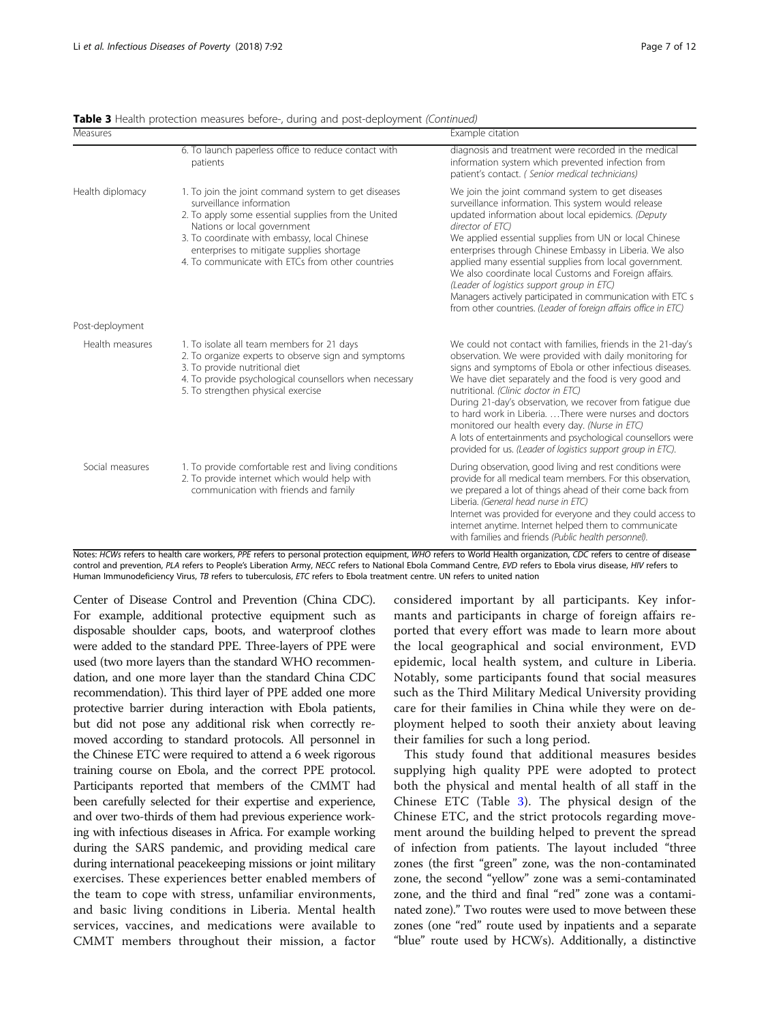| Measures         |                                                                                                                                                                                                                                                                                                                        | Example citation                                                                                                                                                                                                                                                                                                                                                                                                                                                                                                                                                                                         |
|------------------|------------------------------------------------------------------------------------------------------------------------------------------------------------------------------------------------------------------------------------------------------------------------------------------------------------------------|----------------------------------------------------------------------------------------------------------------------------------------------------------------------------------------------------------------------------------------------------------------------------------------------------------------------------------------------------------------------------------------------------------------------------------------------------------------------------------------------------------------------------------------------------------------------------------------------------------|
|                  | 6. To launch paperless office to reduce contact with<br>patients                                                                                                                                                                                                                                                       | diagnosis and treatment were recorded in the medical<br>information system which prevented infection from<br>patient's contact. (Senior medical technicians)                                                                                                                                                                                                                                                                                                                                                                                                                                             |
| Health diplomacy | 1. To join the joint command system to get diseases<br>surveillance information<br>2. To apply some essential supplies from the United<br>Nations or local government<br>3. To coordinate with embassy, local Chinese<br>enterprises to mitigate supplies shortage<br>4. To communicate with ETCs from other countries | We join the joint command system to get diseases<br>surveillance information. This system would release<br>updated information about local epidemics. (Deputy<br>director of ETC)<br>We applied essential supplies from UN or local Chinese<br>enterprises through Chinese Embassy in Liberia. We also<br>applied many essential supplies from local government.<br>We also coordinate local Customs and Foreign affairs.<br>(Leader of logistics support group in ETC)<br>Managers actively participated in communication with ETC s<br>from other countries. (Leader of foreign affairs office in ETC) |
| Post-deployment  |                                                                                                                                                                                                                                                                                                                        |                                                                                                                                                                                                                                                                                                                                                                                                                                                                                                                                                                                                          |
| Health measures  | 1. To isolate all team members for 21 days<br>2. To organize experts to observe sign and symptoms<br>3. To provide nutritional diet<br>4. To provide psychological counsellors when necessary<br>5. To strengthen physical exercise                                                                                    | We could not contact with families, friends in the 21-day's<br>observation. We were provided with daily monitoring for<br>signs and symptoms of Ebola or other infectious diseases.<br>We have diet separately and the food is very good and<br>nutritional. (Clinic doctor in ETC)<br>During 21-day's observation, we recover from fatique due<br>to hard work in Liberia. There were nurses and doctors<br>monitored our health every day. (Nurse in ETC)<br>A lots of entertainments and psychological counsellors were<br>provided for us. (Leader of logistics support group in ETC).               |
| Social measures  | 1. To provide comfortable rest and living conditions<br>2. To provide internet which would help with<br>communication with friends and family                                                                                                                                                                          | During observation, good living and rest conditions were<br>provide for all medical team members. For this observation,<br>we prepared a lot of things ahead of their come back from<br>Liberia. (General head nurse in ETC)<br>Internet was provided for everyone and they could access to<br>internet anytime. Internet helped them to communicate<br>with families and friends (Public health personnel).                                                                                                                                                                                             |

**Table 3** Health protection measures before-, during and post-deployment (Continued)

Notes: HCWs refers to health care workers, PPE refers to personal protection equipment, WHO refers to World Health organization, CDC refers to centre of disease control and prevention, PLA refers to People's Liberation Army, NECC refers to National Ebola Command Centre, EVD refers to Ebola virus disease, HIV refers to Human Immunodeficiency Virus, TB refers to tuberculosis, ETC refers to Ebola treatment centre. UN refers to united nation

Center of Disease Control and Prevention (China CDC). For example, additional protective equipment such as disposable shoulder caps, boots, and waterproof clothes were added to the standard PPE. Three-layers of PPE were used (two more layers than the standard WHO recommendation, and one more layer than the standard China CDC recommendation). This third layer of PPE added one more protective barrier during interaction with Ebola patients, but did not pose any additional risk when correctly removed according to standard protocols. All personnel in the Chinese ETC were required to attend a 6 week rigorous training course on Ebola, and the correct PPE protocol. Participants reported that members of the CMMT had been carefully selected for their expertise and experience, and over two-thirds of them had previous experience working with infectious diseases in Africa. For example working during the SARS pandemic, and providing medical care during international peacekeeping missions or joint military exercises. These experiences better enabled members of the team to cope with stress, unfamiliar environments, and basic living conditions in Liberia. Mental health services, vaccines, and medications were available to CMMT members throughout their mission, a factor considered important by all participants. Key informants and participants in charge of foreign affairs reported that every effort was made to learn more about the local geographical and social environment, EVD epidemic, local health system, and culture in Liberia. Notably, some participants found that social measures such as the Third Military Medical University providing care for their families in China while they were on deployment helped to sooth their anxiety about leaving their families for such a long period.

This study found that additional measures besides supplying high quality PPE were adopted to protect both the physical and mental health of all staff in the Chinese ETC (Table [3\)](#page-5-0). The physical design of the Chinese ETC, and the strict protocols regarding movement around the building helped to prevent the spread of infection from patients. The layout included "three zones (the first "green" zone, was the non-contaminated zone, the second "yellow" zone was a semi-contaminated zone, and the third and final "red" zone was a contaminated zone)." Two routes were used to move between these zones (one "red" route used by inpatients and a separate "blue" route used by HCWs). Additionally, a distinctive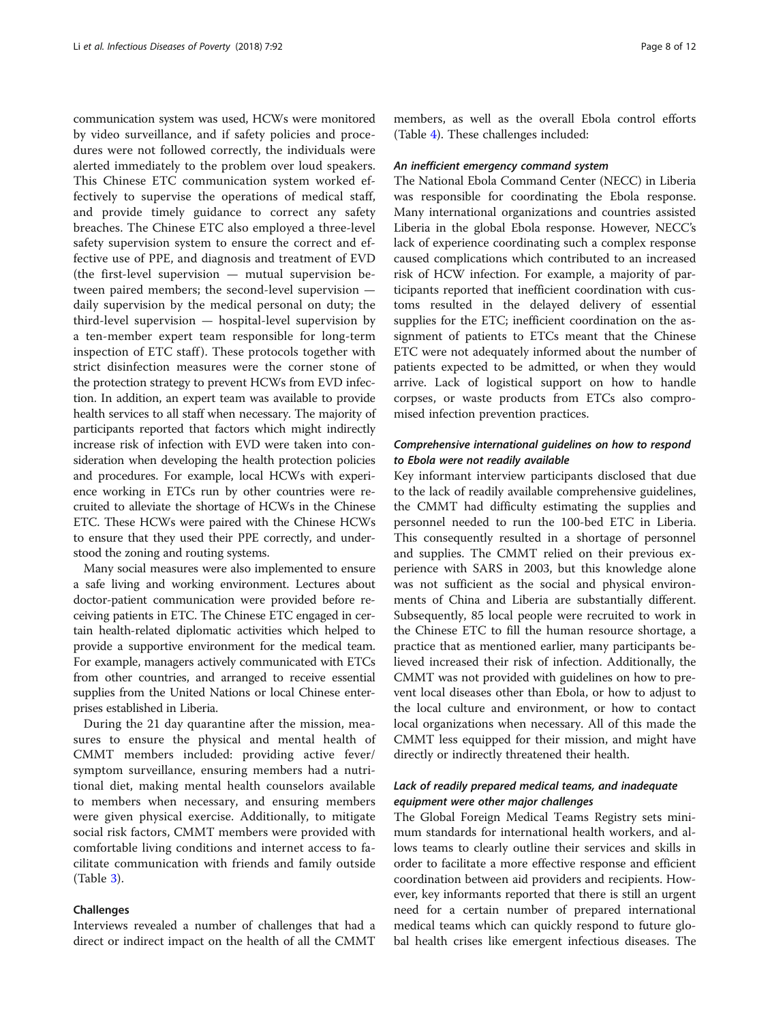communication system was used, HCWs were monitored by video surveillance, and if safety policies and procedures were not followed correctly, the individuals were alerted immediately to the problem over loud speakers. This Chinese ETC communication system worked effectively to supervise the operations of medical staff, and provide timely guidance to correct any safety breaches. The Chinese ETC also employed a three-level safety supervision system to ensure the correct and effective use of PPE, and diagnosis and treatment of EVD (the first-level supervision — mutual supervision between paired members; the second-level supervision daily supervision by the medical personal on duty; the third-level supervision — hospital-level supervision by a ten-member expert team responsible for long-term inspection of ETC staff). These protocols together with strict disinfection measures were the corner stone of the protection strategy to prevent HCWs from EVD infection. In addition, an expert team was available to provide health services to all staff when necessary. The majority of participants reported that factors which might indirectly increase risk of infection with EVD were taken into consideration when developing the health protection policies and procedures. For example, local HCWs with experience working in ETCs run by other countries were recruited to alleviate the shortage of HCWs in the Chinese ETC. These HCWs were paired with the Chinese HCWs to ensure that they used their PPE correctly, and understood the zoning and routing systems.

Many social measures were also implemented to ensure a safe living and working environment. Lectures about doctor-patient communication were provided before receiving patients in ETC. The Chinese ETC engaged in certain health-related diplomatic activities which helped to provide a supportive environment for the medical team. For example, managers actively communicated with ETCs from other countries, and arranged to receive essential supplies from the United Nations or local Chinese enterprises established in Liberia.

During the 21 day quarantine after the mission, measures to ensure the physical and mental health of CMMT members included: providing active fever/ symptom surveillance, ensuring members had a nutritional diet, making mental health counselors available to members when necessary, and ensuring members were given physical exercise. Additionally, to mitigate social risk factors, CMMT members were provided with comfortable living conditions and internet access to facilitate communication with friends and family outside (Table [3\)](#page-5-0).

## Challenges

Interviews revealed a number of challenges that had a direct or indirect impact on the health of all the CMMT

members, as well as the overall Ebola control efforts (Table [4\)](#page-8-0). These challenges included:

## An inefficient emergency command system

The National Ebola Command Center (NECC) in Liberia was responsible for coordinating the Ebola response. Many international organizations and countries assisted Liberia in the global Ebola response. However, NECC's lack of experience coordinating such a complex response caused complications which contributed to an increased risk of HCW infection. For example, a majority of participants reported that inefficient coordination with customs resulted in the delayed delivery of essential supplies for the ETC; inefficient coordination on the assignment of patients to ETCs meant that the Chinese ETC were not adequately informed about the number of patients expected to be admitted, or when they would arrive. Lack of logistical support on how to handle corpses, or waste products from ETCs also compromised infection prevention practices.

## Comprehensive international guidelines on how to respond to Ebola were not readily available

Key informant interview participants disclosed that due to the lack of readily available comprehensive guidelines, the CMMT had difficulty estimating the supplies and personnel needed to run the 100-bed ETC in Liberia. This consequently resulted in a shortage of personnel and supplies. The CMMT relied on their previous experience with SARS in 2003, but this knowledge alone was not sufficient as the social and physical environments of China and Liberia are substantially different. Subsequently, 85 local people were recruited to work in the Chinese ETC to fill the human resource shortage, a practice that as mentioned earlier, many participants believed increased their risk of infection. Additionally, the CMMT was not provided with guidelines on how to prevent local diseases other than Ebola, or how to adjust to the local culture and environment, or how to contact local organizations when necessary. All of this made the CMMT less equipped for their mission, and might have directly or indirectly threatened their health.

## Lack of readily prepared medical teams, and inadequate equipment were other major challenges

The Global Foreign Medical Teams Registry sets minimum standards for international health workers, and allows teams to clearly outline their services and skills in order to facilitate a more effective response and efficient coordination between aid providers and recipients. However, key informants reported that there is still an urgent need for a certain number of prepared international medical teams which can quickly respond to future global health crises like emergent infectious diseases. The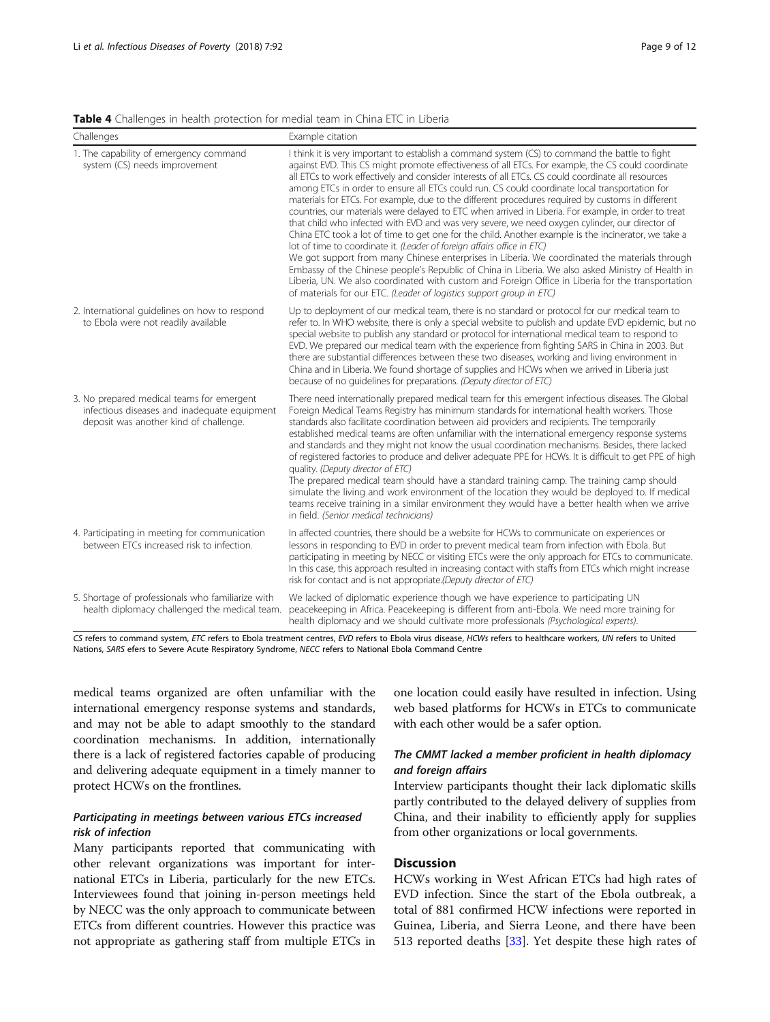<span id="page-8-0"></span>Table 4 Challenges in health protection for medial team in China ETC in Liberia

| Challenges                                                                                                                          | Example citation                                                                                                                                                                                                                                                                                                                                                                                                                                                                                                                                                                                                                                                                                                                                                                                                                                                                                                                                                                                                                                                                                                                                                                                                                                                                                  |
|-------------------------------------------------------------------------------------------------------------------------------------|---------------------------------------------------------------------------------------------------------------------------------------------------------------------------------------------------------------------------------------------------------------------------------------------------------------------------------------------------------------------------------------------------------------------------------------------------------------------------------------------------------------------------------------------------------------------------------------------------------------------------------------------------------------------------------------------------------------------------------------------------------------------------------------------------------------------------------------------------------------------------------------------------------------------------------------------------------------------------------------------------------------------------------------------------------------------------------------------------------------------------------------------------------------------------------------------------------------------------------------------------------------------------------------------------|
| 1. The capability of emergency command<br>system (CS) needs improvement                                                             | I think it is very important to establish a command system (CS) to command the battle to fight<br>against EVD. This CS might promote effectiveness of all ETCs. For example, the CS could coordinate<br>all ETCs to work effectively and consider interests of all ETCs. CS could coordinate all resources<br>among ETCs in order to ensure all ETCs could run. CS could coordinate local transportation for<br>materials for ETCs. For example, due to the different procedures required by customs in different<br>countries, our materials were delayed to ETC when arrived in Liberia. For example, in order to treat<br>that child who infected with EVD and was very severe, we need oxygen cylinder, our director of<br>China ETC took a lot of time to get one for the child. Another example is the incinerator, we take a<br>lot of time to coordinate it. (Leader of foreign affairs office in ETC)<br>We got support from many Chinese enterprises in Liberia. We coordinated the materials through<br>Embassy of the Chinese people's Republic of China in Liberia. We also asked Ministry of Health in<br>Liberia, UN. We also coordinated with custom and Foreign Office in Liberia for the transportation<br>of materials for our ETC. (Leader of logistics support group in ETC) |
| 2. International guidelines on how to respond<br>to Ebola were not readily available                                                | Up to deployment of our medical team, there is no standard or protocol for our medical team to<br>refer to. In WHO website, there is only a special website to publish and update EVD epidemic, but no<br>special website to publish any standard or protocol for international medical team to respond to<br>EVD. We prepared our medical team with the experience from fighting SARS in China in 2003. But<br>there are substantial differences between these two diseases, working and living environment in<br>China and in Liberia. We found shortage of supplies and HCWs when we arrived in Liberia just<br>because of no quidelines for preparations. (Deputy director of ETC)                                                                                                                                                                                                                                                                                                                                                                                                                                                                                                                                                                                                            |
| 3. No prepared medical teams for emergent<br>infectious diseases and inadequate equipment<br>deposit was another kind of challenge. | There need internationally prepared medical team for this emergent infectious diseases. The Global<br>Foreign Medical Teams Registry has minimum standards for international health workers. Those<br>standards also facilitate coordination between aid providers and recipients. The temporarily<br>established medical teams are often unfamiliar with the international emergency response systems<br>and standards and they might not know the usual coordination mechanisms. Besides, there lacked<br>of registered factories to produce and deliver adequate PPE for HCWs. It is difficult to get PPE of high<br>quality. (Deputy director of ETC)<br>The prepared medical team should have a standard training camp. The training camp should<br>simulate the living and work environment of the location they would be deployed to. If medical<br>teams receive training in a similar environment they would have a better health when we arrive<br>in field. (Senior medical technicians)                                                                                                                                                                                                                                                                                               |
| 4. Participating in meeting for communication<br>between ETCs increased risk to infection.                                          | In affected countries, there should be a website for HCWs to communicate on experiences or<br>lessons in responding to EVD in order to prevent medical team from infection with Ebola. But<br>participating in meeting by NECC or visiting ETCs were the only approach for ETCs to communicate.<br>In this case, this approach resulted in increasing contact with staffs from ETCs which might increase<br>risk for contact and is not appropriate.(Deputy director of ETC)                                                                                                                                                                                                                                                                                                                                                                                                                                                                                                                                                                                                                                                                                                                                                                                                                      |
| 5. Shortage of professionals who familiarize with<br>health diplomacy challenged the medical team.                                  | We lacked of diplomatic experience though we have experience to participating UN<br>peacekeeping in Africa. Peacekeeping is different from anti-Ebola. We need more training for<br>health diplomacy and we should cultivate more professionals (Psychological experts).                                                                                                                                                                                                                                                                                                                                                                                                                                                                                                                                                                                                                                                                                                                                                                                                                                                                                                                                                                                                                          |

CS refers to command system, ETC refers to Ebola treatment centres, EVD refers to Ebola virus disease, HCWs refers to healthcare workers, UN refers to United Nations, SARS efers to Severe Acute Respiratory Syndrome, NECC refers to National Ebola Command Centre

medical teams organized are often unfamiliar with the international emergency response systems and standards, and may not be able to adapt smoothly to the standard coordination mechanisms. In addition, internationally there is a lack of registered factories capable of producing and delivering adequate equipment in a timely manner to protect HCWs on the frontlines.

## Participating in meetings between various ETCs increased risk of infection

Many participants reported that communicating with other relevant organizations was important for international ETCs in Liberia, particularly for the new ETCs. Interviewees found that joining in-person meetings held by NECC was the only approach to communicate between ETCs from different countries. However this practice was not appropriate as gathering staff from multiple ETCs in

one location could easily have resulted in infection. Using web based platforms for HCWs in ETCs to communicate with each other would be a safer option.

## The CMMT lacked a member proficient in health diplomacy and foreign affairs

Interview participants thought their lack diplomatic skills partly contributed to the delayed delivery of supplies from China, and their inability to efficiently apply for supplies from other organizations or local governments.

## **Discussion**

HCWs working in West African ETCs had high rates of EVD infection. Since the start of the Ebola outbreak, a total of 881 confirmed HCW infections were reported in Guinea, Liberia, and Sierra Leone, and there have been 513 reported deaths [\[33\]](#page-11-0). Yet despite these high rates of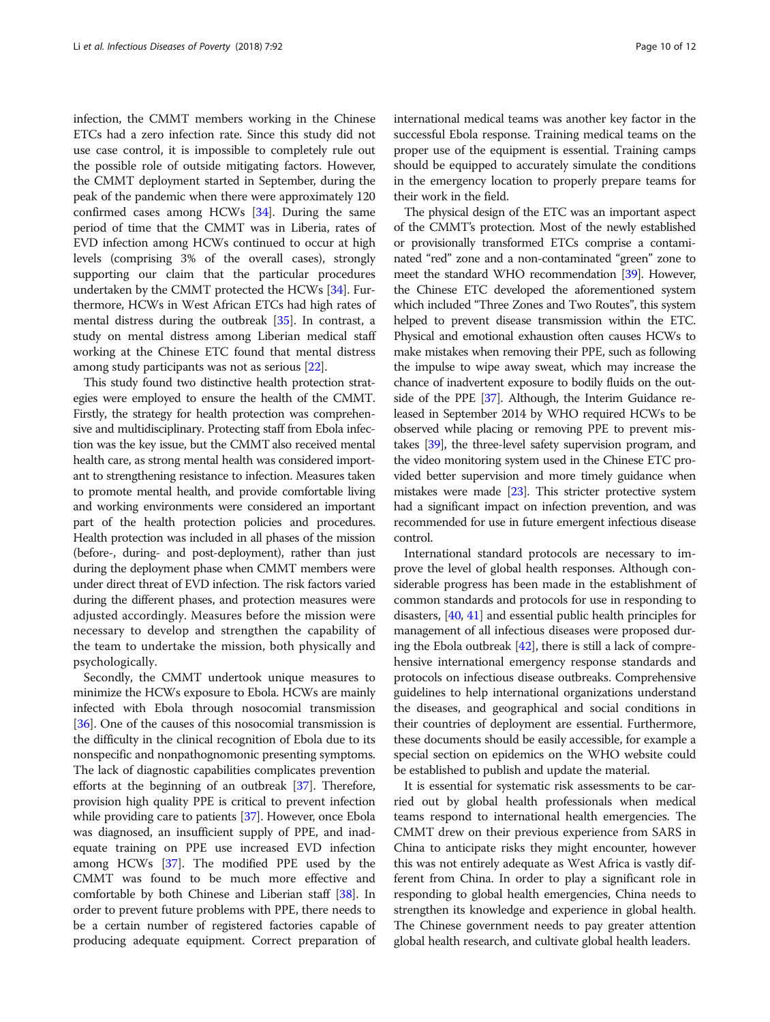infection, the CMMT members working in the Chinese ETCs had a zero infection rate. Since this study did not use case control, it is impossible to completely rule out the possible role of outside mitigating factors. However, the CMMT deployment started in September, during the peak of the pandemic when there were approximately 120 confirmed cases among HCWs [\[34\]](#page-11-0). During the same period of time that the CMMT was in Liberia, rates of EVD infection among HCWs continued to occur at high levels (comprising 3% of the overall cases), strongly supporting our claim that the particular procedures undertaken by the CMMT protected the HCWs [[34](#page-11-0)]. Furthermore, HCWs in West African ETCs had high rates of mental distress during the outbreak [\[35\]](#page-11-0). In contrast, a study on mental distress among Liberian medical staff working at the Chinese ETC found that mental distress among study participants was not as serious [\[22](#page-11-0)].

This study found two distinctive health protection strategies were employed to ensure the health of the CMMT. Firstly, the strategy for health protection was comprehensive and multidisciplinary. Protecting staff from Ebola infection was the key issue, but the CMMT also received mental health care, as strong mental health was considered important to strengthening resistance to infection. Measures taken to promote mental health, and provide comfortable living and working environments were considered an important part of the health protection policies and procedures. Health protection was included in all phases of the mission (before-, during- and post-deployment), rather than just during the deployment phase when CMMT members were under direct threat of EVD infection. The risk factors varied during the different phases, and protection measures were adjusted accordingly. Measures before the mission were necessary to develop and strengthen the capability of the team to undertake the mission, both physically and psychologically.

Secondly, the CMMT undertook unique measures to minimize the HCWs exposure to Ebola. HCWs are mainly infected with Ebola through nosocomial transmission [[36](#page-11-0)]. One of the causes of this nosocomial transmission is the difficulty in the clinical recognition of Ebola due to its nonspecific and nonpathognomonic presenting symptoms. The lack of diagnostic capabilities complicates prevention efforts at the beginning of an outbreak [[37](#page-11-0)]. Therefore, provision high quality PPE is critical to prevent infection while providing care to patients [[37\]](#page-11-0). However, once Ebola was diagnosed, an insufficient supply of PPE, and inadequate training on PPE use increased EVD infection among HCWs [\[37\]](#page-11-0). The modified PPE used by the CMMT was found to be much more effective and comfortable by both Chinese and Liberian staff [[38](#page-11-0)]. In order to prevent future problems with PPE, there needs to be a certain number of registered factories capable of producing adequate equipment. Correct preparation of international medical teams was another key factor in the successful Ebola response. Training medical teams on the proper use of the equipment is essential. Training camps should be equipped to accurately simulate the conditions in the emergency location to properly prepare teams for their work in the field.

The physical design of the ETC was an important aspect of the CMMT's protection. Most of the newly established or provisionally transformed ETCs comprise a contaminated "red" zone and a non-contaminated "green" zone to meet the standard WHO recommendation [[39](#page-11-0)]. However, the Chinese ETC developed the aforementioned system which included "Three Zones and Two Routes", this system helped to prevent disease transmission within the ETC. Physical and emotional exhaustion often causes HCWs to make mistakes when removing their PPE, such as following the impulse to wipe away sweat, which may increase the chance of inadvertent exposure to bodily fluids on the outside of the PPE [\[37](#page-11-0)]. Although, the Interim Guidance released in September 2014 by WHO required HCWs to be observed while placing or removing PPE to prevent mistakes [\[39\]](#page-11-0), the three-level safety supervision program, and the video monitoring system used in the Chinese ETC provided better supervision and more timely guidance when mistakes were made [\[23\]](#page-11-0). This stricter protective system had a significant impact on infection prevention, and was recommended for use in future emergent infectious disease control.

International standard protocols are necessary to improve the level of global health responses. Although considerable progress has been made in the establishment of common standards and protocols for use in responding to disasters, [[40,](#page-11-0) [41\]](#page-11-0) and essential public health principles for management of all infectious diseases were proposed during the Ebola outbreak [\[42](#page-11-0)], there is still a lack of comprehensive international emergency response standards and protocols on infectious disease outbreaks. Comprehensive guidelines to help international organizations understand the diseases, and geographical and social conditions in their countries of deployment are essential. Furthermore, these documents should be easily accessible, for example a special section on epidemics on the WHO website could be established to publish and update the material.

It is essential for systematic risk assessments to be carried out by global health professionals when medical teams respond to international health emergencies. The CMMT drew on their previous experience from SARS in China to anticipate risks they might encounter, however this was not entirely adequate as West Africa is vastly different from China. In order to play a significant role in responding to global health emergencies, China needs to strengthen its knowledge and experience in global health. The Chinese government needs to pay greater attention global health research, and cultivate global health leaders.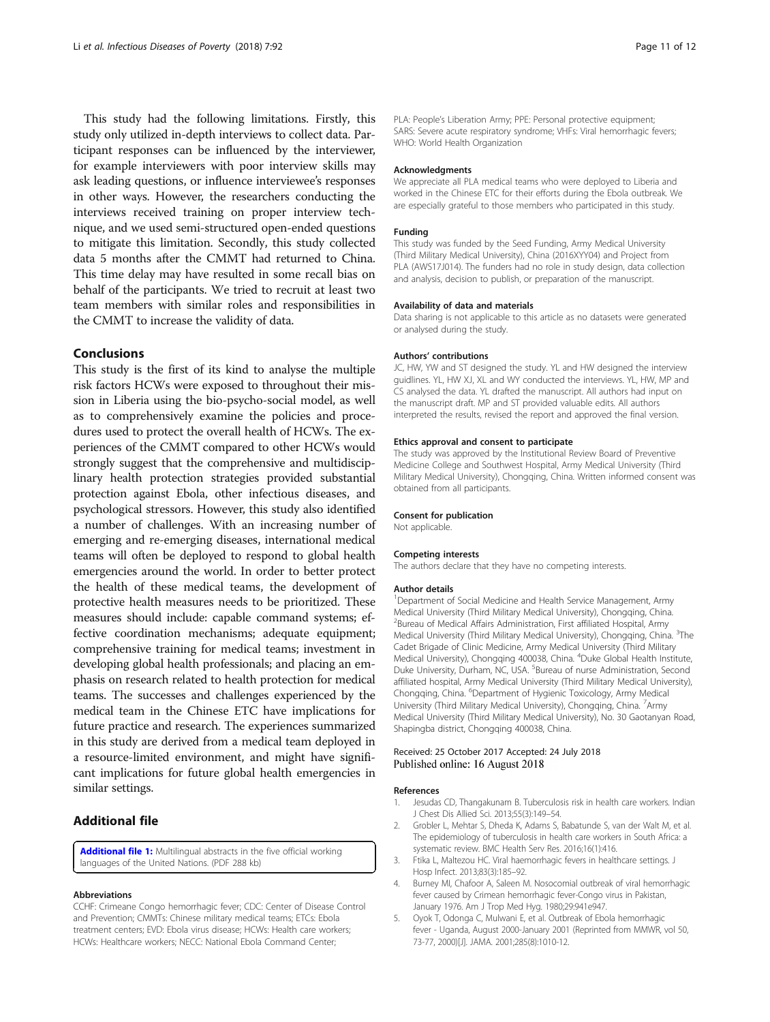<span id="page-10-0"></span>This study had the following limitations. Firstly, this study only utilized in-depth interviews to collect data. Participant responses can be influenced by the interviewer, for example interviewers with poor interview skills may ask leading questions, or influence interviewee's responses in other ways. However, the researchers conducting the interviews received training on proper interview technique, and we used semi-structured open-ended questions to mitigate this limitation. Secondly, this study collected data 5 months after the CMMT had returned to China. This time delay may have resulted in some recall bias on behalf of the participants. We tried to recruit at least two team members with similar roles and responsibilities in the CMMT to increase the validity of data.

## Conclusions

This study is the first of its kind to analyse the multiple risk factors HCWs were exposed to throughout their mission in Liberia using the bio-psycho-social model, as well as to comprehensively examine the policies and procedures used to protect the overall health of HCWs. The experiences of the CMMT compared to other HCWs would strongly suggest that the comprehensive and multidisciplinary health protection strategies provided substantial protection against Ebola, other infectious diseases, and psychological stressors. However, this study also identified a number of challenges. With an increasing number of emerging and re-emerging diseases, international medical teams will often be deployed to respond to global health emergencies around the world. In order to better protect the health of these medical teams, the development of protective health measures needs to be prioritized. These measures should include: capable command systems; effective coordination mechanisms; adequate equipment; comprehensive training for medical teams; investment in developing global health professionals; and placing an emphasis on research related to health protection for medical teams. The successes and challenges experienced by the medical team in the Chinese ETC have implications for future practice and research. The experiences summarized in this study are derived from a medical team deployed in a resource-limited environment, and might have significant implications for future global health emergencies in similar settings.

## Additional file

[Additional file 1:](https://doi.org/10.1186/s40249-018-0468-6) Multilingual abstracts in the five official working languages of the United Nations. (PDF 288 kb)

## Abbreviations

CCHF: Crimeane Congo hemorrhagic fever; CDC: Center of Disease Control and Prevention; CMMTs: Chinese military medical teams; ETCs: Ebola treatment centers; EVD: Ebola virus disease; HCWs: Health care workers; HCWs: Healthcare workers; NECC: National Ebola Command Center;

PLA: People's Liberation Army; PPE: Personal protective equipment; SARS: Severe acute respiratory syndrome; VHFs: Viral hemorrhagic fevers; WHO: World Health Organization

#### Acknowledgments

We appreciate all PLA medical teams who were deployed to Liberia and worked in the Chinese ETC for their efforts during the Ebola outbreak. We are especially grateful to those members who participated in this study.

## Funding

This study was funded by the Seed Funding, Army Medical University (Third Military Medical University), China (2016XYY04) and Project from PLA (AWS17J014). The funders had no role in study design, data collection and analysis, decision to publish, or preparation of the manuscript.

#### Availability of data and materials

Data sharing is not applicable to this article as no datasets were generated or analysed during the study.

#### Authors' contributions

JC, HW, YW and ST designed the study. YL and HW designed the interview guidlines. YL, HW XJ, XL and WY conducted the interviews. YL, HW, MP and CS analysed the data. YL drafted the manuscript. All authors had input on the manuscript draft. MP and ST provided valuable edits. All authors interpreted the results, revised the report and approved the final version.

#### Ethics approval and consent to participate

The study was approved by the Institutional Review Board of Preventive Medicine College and Southwest Hospital, Army Medical University (Third Military Medical University), Chongqing, China. Written informed consent was obtained from all participants.

## Consent for publication

Not applicable.

#### Competing interests

The authors declare that they have no competing interests.

## Author details

<sup>1</sup>Department of Social Medicine and Health Service Management, Army Medical University (Third Military Medical University), Chongqing, China. <sup>2</sup>Bureau of Medical Affairs Administration, First affiliated Hospital, Army Medical University (Third Military Medical University), Chongqing, China. <sup>3</sup>The Cadet Brigade of Clinic Medicine, Army Medical University (Third Military Medical University), Chongqing 400038, China. <sup>4</sup>Duke Global Health Institute Duke University, Durham, NC, USA. <sup>5</sup>Bureau of nurse Administration, Second affiliated hospital, Army Medical University (Third Military Medical University), Chongqing, China. <sup>6</sup>Department of Hygienic Toxicology, Army Medical University (Third Military Medical University), Chongqing, China. <sup>7</sup>Army Medical University (Third Military Medical University), No. 30 Gaotanyan Road, Shapingba district, Chongqing 400038, China.

## Received: 25 October 2017 Accepted: 24 July 2018 Published online: 16 August 2018

#### References

- 1. Jesudas CD, Thangakunam B. Tuberculosis risk in health care workers. Indian J Chest Dis Allied Sci. 2013;55(3):149–54.
- 2. Grobler L, Mehtar S, Dheda K, Adams S, Babatunde S, van der Walt M, et al. The epidemiology of tuberculosis in health care workers in South Africa: a systematic review. BMC Health Serv Res. 2016;16(1):416.
- 3. Ftika L, Maltezou HC. Viral haemorrhagic fevers in healthcare settings. J Hosp Infect. 2013;83(3):185–92.
- 4. Burney MI, Chafoor A, Saleen M. Nosocomial outbreak of viral hemorrhagic fever caused by Crimean hemorrhagic fever-Congo virus in Pakistan, January 1976. Am J Trop Med Hyg. 1980;29:941e947.
- Oyok T, Odonga C, Mulwani E, et al. Outbreak of Ebola hemorrhagic fever - Uganda, August 2000-January 2001 (Reprinted from MMWR, vol 50, 73-77, 2000)[J]. JAMA. 2001;285(8):1010-12.